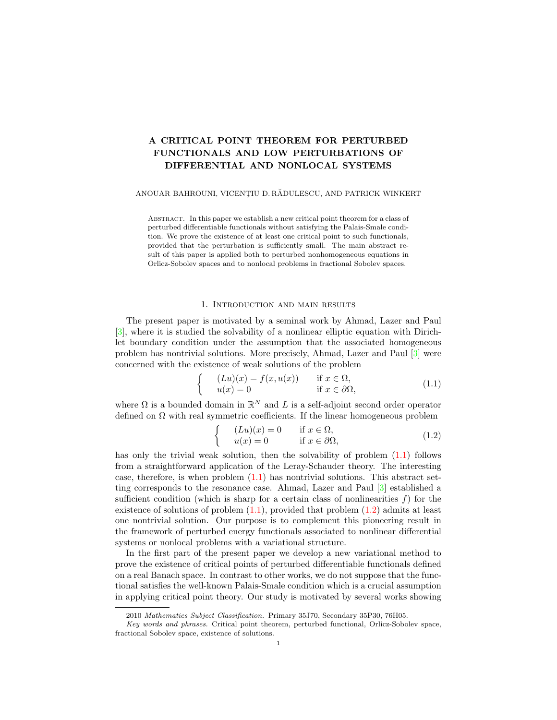# A CRITICAL POINT THEOREM FOR PERTURBED FUNCTIONALS AND LOW PERTURBATIONS OF DIFFERENTIAL AND NONLOCAL SYSTEMS

### ANOUAR BAHROUNI, VICENȚIU D. RĂDULESCU, AND PATRICK WINKERT

Abstract. In this paper we establish a new critical point theorem for a class of perturbed differentiable functionals without satisfying the Palais-Smale condition. We prove the existence of at least one critical point to such functionals, provided that the perturbation is sufficiently small. The main abstract result of this paper is applied both to perturbed nonhomogeneous equations in Orlicz-Sobolev spaces and to nonlocal problems in fractional Sobolev spaces.

## 1. Introduction and main results

The present paper is motivated by a seminal work by Ahmad, Lazer and Paul [\[3\]](#page-12-0), where it is studied the solvability of a nonlinear elliptic equation with Dirichlet boundary condition under the assumption that the associated homogeneous problem has nontrivial solutions. More precisely, Ahmad, Lazer and Paul [\[3\]](#page-12-0) were concerned with the existence of weak solutions of the problem

<span id="page-0-0"></span>
$$
\begin{cases}\n(Lu)(x) = f(x, u(x)) & \text{if } x \in \Omega, \\
u(x) = 0 & \text{if } x \in \partial\Omega,\n\end{cases}
$$
\n(1.1)

where  $\Omega$  is a bounded domain in  $\mathbb{R}^N$  and L is a self-adjoint second order operator defined on  $\Omega$  with real symmetric coefficients. If the linear homogeneous problem

<span id="page-0-1"></span>
$$
\begin{cases}\n(Lu)(x) = 0 & \text{if } x \in \Omega, \\
u(x) = 0 & \text{if } x \in \partial\Omega,\n\end{cases}
$$
\n(1.2)

has only the trivial weak solution, then the solvability of problem  $(1.1)$  follows from a straightforward application of the Leray-Schauder theory. The interesting case, therefore, is when problem  $(1.1)$  has nontrivial solutions. This abstract setting corresponds to the resonance case. Ahmad, Lazer and Paul [\[3\]](#page-12-0) established a sufficient condition (which is sharp for a certain class of nonlinearities  $f$ ) for the existence of solutions of problem  $(1.1)$ , provided that problem  $(1.2)$  admits at least one nontrivial solution. Our purpose is to complement this pioneering result in the framework of perturbed energy functionals associated to nonlinear differential systems or nonlocal problems with a variational structure.

In the first part of the present paper we develop a new variational method to prove the existence of critical points of perturbed differentiable functionals defined on a real Banach space. In contrast to other works, we do not suppose that the functional satisfies the well-known Palais-Smale condition which is a crucial assumption in applying critical point theory. Our study is motivated by several works showing

<sup>2010</sup> Mathematics Subject Classification. Primary 35J70, Secondary 35P30, 76H05.

Key words and phrases. Critical point theorem, perturbed functional, Orlicz-Sobolev space, fractional Sobolev space, existence of solutions.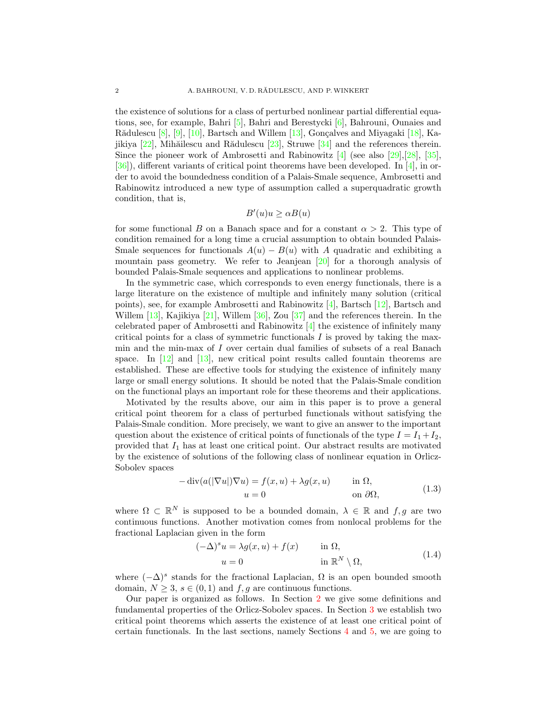the existence of solutions for a class of perturbed nonlinear partial differential equations, see, for example, Bahri [\[5\]](#page-12-1), Bahri and Berestycki [\[6\]](#page-12-2), Bahrouni, Ounaies and Rădulescu  $[8]$ ,  $[9]$ ,  $[10]$ , Bartsch and Willem  $[13]$ , Gonçalves and Miyagaki  $[18]$ , Kajikiya  $[22]$ , Mihăilescu and Rădulescu  $[23]$ , Struwe  $[34]$  and the references therein. Since the pioneer work of Ambrosetti and Rabinowitz  $\left[4\right]$  (see also [\[29\]](#page-13-5),[\[28\]](#page-13-6), [\[35\]](#page-13-7),  $[36]$ , different variants of critical point theorems have been developed. In [\[4\]](#page-12-6), in order to avoid the boundedness condition of a Palais-Smale sequence, Ambrosetti and Rabinowitz introduced a new type of assumption called a superquadratic growth condition, that is,

$$
B'(u)u \ge \alpha B(u)
$$

for some functional B on a Banach space and for a constant  $\alpha > 2$ . This type of condition remained for a long time a crucial assumption to obtain bounded Palais-Smale sequences for functionals  $A(u) - B(u)$  with A quadratic and exhibiting a mountain pass geometry. We refer to Jeanjean  $[20]$  for a thorough analysis of bounded Palais-Smale sequences and applications to nonlinear problems.

In the symmetric case, which corresponds to even energy functionals, there is a large literature on the existence of multiple and infinitely many solution (critical points), see, for example Ambrosetti and Rabinowitz [\[4\]](#page-12-6), Bartsch [\[12\]](#page-12-7), Bartsch and Willem [\[13\]](#page-13-0), Kajikiya [\[21\]](#page-13-10), Willem [\[36\]](#page-13-8), Zou [\[37\]](#page-13-11) and the references therein. In the celebrated paper of Ambrosetti and Rabinowitz [\[4\]](#page-12-6) the existence of infinitely many critical points for a class of symmetric functionals  $I$  is proved by taking the maxmin and the min-max of I over certain dual families of subsets of a real Banach space. In  $[12]$  and  $[13]$ , new critical point results called fountain theorems are established. These are effective tools for studying the existence of infinitely many large or small energy solutions. It should be noted that the Palais-Smale condition on the functional plays an important role for these theorems and their applications.

Motivated by the results above, our aim in this paper is to prove a general critical point theorem for a class of perturbed functionals without satisfying the Palais-Smale condition. More precisely, we want to give an answer to the important question about the existence of critical points of functionals of the type  $I = I_1 + I_2$ , provided that  $I_1$  has at least one critical point. Our abstract results are motivated by the existence of solutions of the following class of nonlinear equation in Orlicz-Sobolev spaces

$$
-\operatorname{div}(a(|\nabla u|)\nabla u) = f(x, u) + \lambda g(x, u) \quad \text{in } \Omega,
$$
  
\n
$$
u = 0 \quad \text{on } \partial\Omega,
$$
 (1.3)

where  $\Omega \subset \mathbb{R}^N$  is supposed to be a bounded domain,  $\lambda \in \mathbb{R}$  and  $f, g$  are two continuous functions. Another motivation comes from nonlocal problems for the fractional Laplacian given in the form

<span id="page-1-1"></span><span id="page-1-0"></span>
$$
(-\Delta)^s u = \lambda g(x, u) + f(x) \quad \text{in } \Omega,
$$
  
\n
$$
u = 0 \quad \text{in } \mathbb{R}^N \setminus \Omega,
$$
\n(1.4)

where  $(-\Delta)^s$  stands for the fractional Laplacian,  $\Omega$  is an open bounded smooth domain,  $N \geq 3$ ,  $s \in (0,1)$  and  $f, g$  are continuous functions.

Our paper is organized as follows. In Section [2](#page-2-0) we give some definitions and fundamental properties of the Orlicz-Sobolev spaces. In Section [3](#page-4-0) we establish two critical point theorems which asserts the existence of at least one critical point of certain functionals. In the last sections, namely Sections [4](#page-7-0) and [5,](#page-10-0) we are going to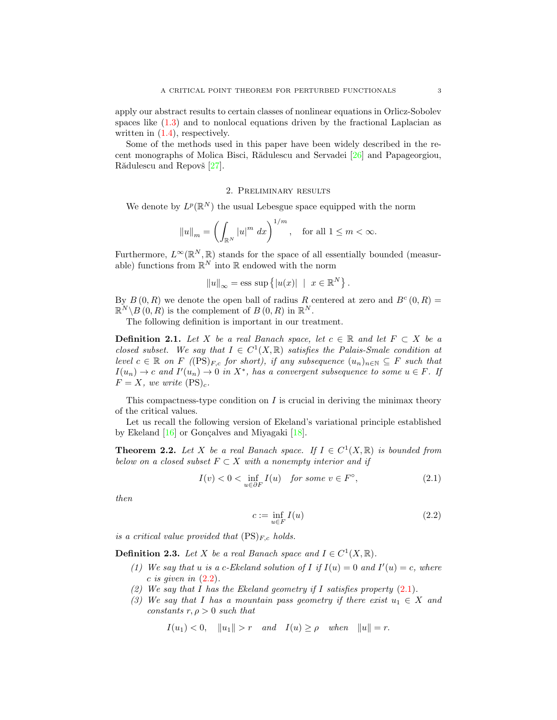apply our abstract results to certain classes of nonlinear equations in Orlicz-Sobolev spaces like [\(1.3\)](#page-1-0) and to nonlocal equations driven by the fractional Laplacian as written in  $(1.4)$ , respectively.

Some of the methods used in this paper have been widely described in the recent monographs of Molica Bisci, Rădulescu and Servadei  $[26]$  and Papageorgiou, Rădulescu and Repovš [\[27\]](#page-13-13).

## 2. Preliminary results

<span id="page-2-0"></span>We denote by  $L^p(\mathbb{R}^N)$  the usual Lebesgue space equipped with the norm

$$
||u||_m = \left(\int_{\mathbb{R}^N} |u|^m dx\right)^{1/m}, \text{ for all } 1 \le m < \infty.
$$

Furthermore,  $L^{\infty}(\mathbb{R}^N, \mathbb{R})$  stands for the space of all essentially bounded (measurable) functions from  $\mathbb{R}^N$  into  $\mathbb R$  endowed with the norm

$$
||u||_{\infty} = \text{ess sup }\{|u(x)| \mid x \in \mathbb{R}^N\}.
$$

By  $B(0,R)$  we denote the open ball of radius R centered at zero and  $B^c(0,R)$  =  $\mathbb{R}^N \backslash B(0,R)$  is the complement of  $B(0,R)$  in  $\mathbb{R}^N$ .

The following definition is important in our treatment.

**Definition 2.1.** Let X be a real Banach space, let  $c \in \mathbb{R}$  and let  $F \subset X$  be a closed subset. We say that  $I \in C^1(X,\mathbb{R})$  satisfies the Palais-Smale condition at level  $c \in \mathbb{R}$  on F ((PS)<sub>F,c</sub> for short), if any subsequence  $(u_n)_{n \in \mathbb{N}}$  ⊆ F such that  $I(u_n) \to c$  and  $I'(u_n) \to 0$  in  $X^*$ , has a convergent subsequence to some  $u \in F$ . If  $F = X$ , we write  $(PS)_c$ .

This compactness-type condition on  $I$  is crucial in deriving the minimax theory of the critical values.

Let us recall the following version of Ekeland's variational principle established by Ekeland  $[16]$  or Gonçalves and Miyagaki  $[18]$ .

<span id="page-2-3"></span>**Theorem 2.2.** Let X be a real Banach space. If  $I \in C^1(X, \mathbb{R})$  is bounded from below on a closed subset  $F \subset X$  with a nonempty interior and if

$$
I(v) < 0 < \inf_{u \in \partial F} I(u) \quad \text{for some } v \in F^{\circ}, \tag{2.1}
$$

then

<span id="page-2-2"></span><span id="page-2-1"></span>
$$
c := \inf_{u \in F} I(u) \tag{2.2}
$$

is a critical value provided that  $(PS)_{F,c}$  holds.

**Definition 2.3.** Let X be a real Banach space and  $I \in C^1(X, \mathbb{R})$ .

- (1) We say that u is a c-Ekeland solution of I if  $I(u) = 0$  and  $I'(u) = c$ , where  $c$  is given in  $(2.2)$ .
- (2) We say that I has the Ekeland geometry if I satisfies property  $(2.1)$ .
- (3) We say that I has a mountain pass geometry if there exist  $u_1 \in X$  and constants  $r, \rho > 0$  such that

$$
I(u_1) < 0
$$
,  $||u_1|| > r$  and  $I(u) \ge \rho$  when  $||u|| = r$ .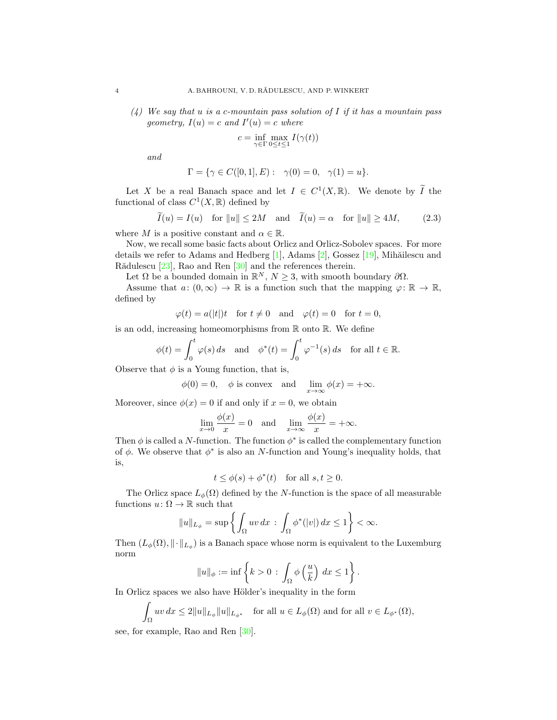$(4)$  We say that u is a c-mountain pass solution of I if it has a mountain pass geometry,  $I(u) = c$  and  $I'(u) = c$  where

<span id="page-3-0"></span>
$$
c=\inf_{\gamma\in\Gamma}\max_{0\leq t\leq 1}I(\gamma(t))
$$

and

$$
\Gamma = \{ \gamma \in C([0, 1], E) : \gamma(0) = 0, \gamma(1) = u \}.
$$

Let X be a real Banach space and let  $I \in C^1(X,\mathbb{R})$ . We denote by  $\widetilde{I}$  the functional of class  $C^1(X,\mathbb{R})$  defined by

$$
\widetilde{I}(u) = I(u) \quad \text{for } ||u|| \le 2M \quad \text{and} \quad \widetilde{I}(u) = \alpha \quad \text{for } ||u|| \ge 4M,
$$
 (2.3)

where M is a positive constant and  $\alpha \in \mathbb{R}$ .

Now, we recall some basic facts about Orlicz and Orlicz-Sobolev spaces. For more details we refer to Adams and Hedberg  $[1]$ , Adams  $[2]$ , Gossez  $[19]$ , Mihăilescu and Rădulescu  $[23]$ , Rao and Ren  $[30]$  and the references therein.

Let  $\Omega$  be a bounded domain in  $\mathbb{R}^N$ ,  $N \geq 3$ , with smooth boundary  $\partial \Omega$ .

Assume that  $a: (0, \infty) \to \mathbb{R}$  is a function such that the mapping  $\varphi \colon \mathbb{R} \to \mathbb{R}$ , defined by

$$
\varphi(t) = a(|t|)t \quad \text{for } t \neq 0 \quad \text{and} \quad \varphi(t) = 0 \quad \text{for } t = 0,
$$

is an odd, increasing homeomorphisms from R onto R. We define

$$
\phi(t) = \int_0^t \varphi(s) \, ds \quad \text{and} \quad \phi^*(t) = \int_0^t \varphi^{-1}(s) \, ds \quad \text{for all } t \in \mathbb{R}.
$$

Observe that  $\phi$  is a Young function, that is,

$$
\phi(0) = 0
$$
,  $\phi$  is convex and  $\lim_{x \to \infty} \phi(x) = +\infty$ .

Moreover, since  $\phi(x) = 0$  if and only if  $x = 0$ , we obtain

$$
\lim_{x \to 0} \frac{\phi(x)}{x} = 0 \quad \text{and} \quad \lim_{x \to \infty} \frac{\phi(x)}{x} = +\infty.
$$

Then  $\phi$  is called a N-function. The function  $\phi^*$  is called the complementary function of  $\phi$ . We observe that  $\phi^*$  is also an N-function and Young's inequality holds, that is,

$$
t \le \phi(s) + \phi^*(t)
$$
 for all  $s, t \ge 0$ .

The Orlicz space  $L_{\phi}(\Omega)$  defined by the N-function is the space of all measurable functions  $u: \Omega \to \mathbb{R}$  such that

$$
||u||_{L_{\phi}} = \sup \left\{ \int_{\Omega} uv \, dx \, : \, \int_{\Omega} \phi^*(|v|) \, dx \le 1 \right\} < \infty.
$$

Then  $(L_{\phi}(\Omega), \|\cdot\|_{L_{\phi}})$  is a Banach space whose norm is equivalent to the Luxemburg norm

$$
||u||_{\phi} := \inf \left\{ k > 0 \, : \, \int_{\Omega} \phi \left( \frac{u}{k} \right) \, dx \le 1 \right\}.
$$

In Orlicz spaces we also have Hölder's inequality in the form

$$
\int_{\Omega} uv \, dx \le 2||u||_{L_{\phi}}||u||_{L_{\phi^*}} \quad \text{for all } u \in L_{\phi}(\Omega) \text{ and for all } v \in L_{\phi^*}(\Omega),
$$

see, for example, Rao and Ren [\[30\]](#page-13-16).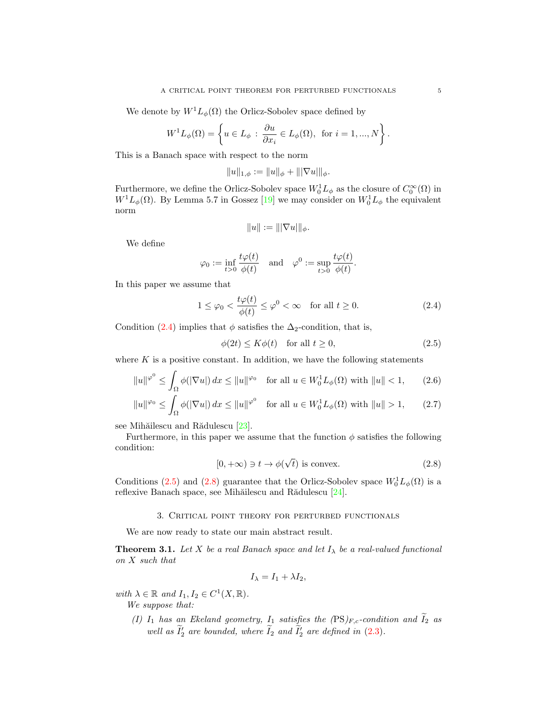We denote by  $W^1L_{\phi}(\Omega)$  the Orlicz-Sobolev space defined by

$$
W^{1}L_{\phi}(\Omega) = \left\{ u \in L_{\phi} : \frac{\partial u}{\partial x_{i}} \in L_{\phi}(\Omega), \text{ for } i = 1, ..., N \right\}.
$$

This is a Banach space with respect to the norm

$$
||u||_{1,\phi} := ||u||_{\phi} + |||\nabla u|||_{\phi}.
$$

Furthermore, we define the Orlicz-Sobolev space  $W_0^1L_\phi$  as the closure of  $C_0^\infty(\Omega)$  in  $W<sup>1</sup>L<sub>\phi</sub>(\Omega)$ . By Lemma 5.7 in Gossez [\[19\]](#page-13-15) we may consider on  $W<sub>0</sub><sup>1</sup>L<sub>\phi</sub>$  the equivalent norm

<span id="page-4-1"></span>
$$
||u|| := |||\nabla u|||_{\phi}.
$$

We define

$$
\varphi_0 := \inf_{t>0} \frac{t\varphi(t)}{\phi(t)} \quad \text{and} \quad \varphi^0 := \sup_{t>0} \frac{t\varphi(t)}{\phi(t)}.
$$

In this paper we assume that

$$
1 \le \varphi_0 < \frac{t\varphi(t)}{\phi(t)} \le \varphi^0 < \infty \quad \text{for all } t \ge 0. \tag{2.4}
$$

Condition [\(2.4\)](#page-4-1) implies that  $\phi$  satisfies the  $\Delta_2$ -condition, that is,

<span id="page-4-6"></span><span id="page-4-5"></span><span id="page-4-2"></span>
$$
\phi(2t) \le K\phi(t) \quad \text{for all } t \ge 0,
$$
\n
$$
(2.5)
$$

where  $K$  is a positive constant. In addition, we have the following statements

$$
||u||^{\varphi^0} \le \int_{\Omega} \phi(|\nabla u|) dx \le ||u||^{\varphi_0} \quad \text{for all } u \in W_0^1 L_{\phi}(\Omega) \text{ with } ||u|| < 1,
$$
 (2.6)

$$
||u||^{\varphi_0} \le \int_{\Omega} \phi(|\nabla u|) dx \le ||u||^{\varphi^0} \quad \text{for all } u \in W_0^1 L_{\phi}(\Omega) \text{ with } ||u|| > 1,
$$
 (2.7)

see Mihăilescu and Rădulescu [\[23\]](#page-13-3).

Furthermore, in this paper we assume that the function  $\phi$  satisfies the following condition:

<span id="page-4-3"></span>
$$
[0, +\infty) \ni t \to \phi(\sqrt{t}) \text{ is convex.}
$$
 (2.8)

Conditions [\(2.5\)](#page-4-2) and [\(2.8\)](#page-4-3) guarantee that the Orlicz-Sobolev space  $W_0^1L_{\phi}(\Omega)$  is a reflexive Banach space, see Mihăilescu and Rădulescu [\[24\]](#page-13-17).

## 3. Critical point theory for perturbed functionals

<span id="page-4-0"></span>We are now ready to state our main abstract result.

<span id="page-4-4"></span>**Theorem 3.1.** Let X be a real Banach space and let  $I_{\lambda}$  be a real-valued functional on X such that

$$
I_{\lambda} = I_1 + \lambda I_2,
$$

with  $\lambda \in \mathbb{R}$  and  $I_1, I_2 \in C^1(X, \mathbb{R})$ .

We suppose that:

(I)  $I_1$  has an Ekeland geometry,  $I_1$  satisfies the  $(PS)_{F,c}$ -condition and  $\widetilde{I}_2$  as well as  $I_2'$  are bounded, where  $I_2$  and  $I_2'$  are defined in [\(2.3\)](#page-3-0).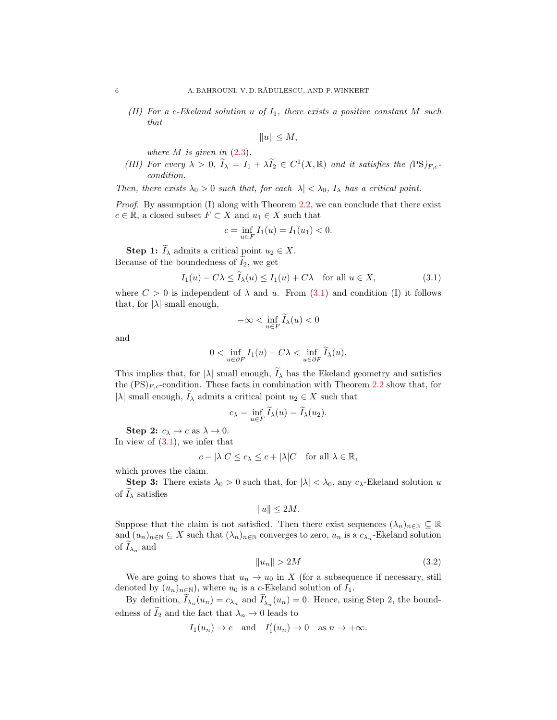(II) For a c-Ekeland solution u of  $I_1$ , there exists a positive constant M such that

$$
||u|| \le M,
$$

where  $M$  is given in  $(2.3)$ .

(III) For every  $\lambda > 0$ ,  $\widetilde{I}_{\lambda} = I_1 + \lambda \widetilde{I}_2 \in C^1(X, \mathbb{R})$  and it satisfies the  $(PS)_{F,c}$ condition.

Then, there exists  $\lambda_0 > 0$  such that, for each  $|\lambda| < \lambda_0$ ,  $I_\lambda$  has a critical point.

*Proof.* By assumption  $(I)$  along with Theorem [2.2,](#page-2-3) we can conclude that there exist  $c \in \mathbb{R}$ , a closed subset  $F \subset X$  and  $u_1 \in X$  such that

$$
c = \inf_{u \in F} I_1(u) = I_1(u_1) < 0.
$$

**Step 1:**  $\widetilde{I}_{\lambda}$  admits a critical point  $u_2 \in X$ . Because of the boundedness of  $I_2$ , we get

$$
I_1(u) - C\lambda \le I_\lambda(u) \le I_1(u) + C\lambda \quad \text{for all } u \in X,\tag{3.1}
$$

where  $C > 0$  is independent of  $\lambda$  and u. From [\(3.1\)](#page-5-0) and condition (I) it follows that, for  $|\lambda|$  small enough,

<span id="page-5-0"></span>
$$
-\infty<\inf_{u\in F}\widetilde{I}_\lambda(u)<0
$$

and

$$
0 < \inf_{u \in \partial F} I_1(u) - C\lambda < \inf_{u \in \partial F} \widetilde{I}_\lambda(u).
$$

This implies that, for  $|\lambda|$  small enough,  $\widetilde{I}_{\lambda}$  has the Ekeland geometry and satisfies the  $(PS)_{F,c}$ -condition. These facts in combination with Theorem [2.2](#page-2-3) show that, for |λ| small enough,  $I_\lambda$  admits a critical point  $u_2 \in X$  such that

$$
c_{\lambda} = \inf_{u \in F} \widetilde{I}_{\lambda}(u) = \widetilde{I}_{\lambda}(u_2).
$$

Step 2:  $c_{\lambda} \rightarrow c$  as  $\lambda \rightarrow 0$ . In view of  $(3.1)$ , we infer that

$$
c - |\lambda| C \le c_{\lambda} \le c + |\lambda| C \quad \text{for all } \lambda \in \mathbb{R},
$$

which proves the claim.

**Step 3:** There exists  $\lambda_0 > 0$  such that, for  $|\lambda| < \lambda_0$ , any  $c_{\lambda}$ -Ekeland solution u of  $I_{\lambda}$  satisfies

$$
||u|| \le 2M.
$$

Suppose that the claim is not satisfied. Then there exist sequences  $(\lambda_n)_{n\in\mathbb{N}}\subseteq\mathbb{R}$ and  $(u_n)_{n\in\mathbb{N}}\subseteq X$  such that  $(\lambda_n)_{n\in\mathbb{N}}$  converges to zero,  $u_n$  is a  $c_{\lambda_n}$ -Ekeland solution of  $I_{\lambda_n}$  and

<span id="page-5-1"></span>
$$
||u_n|| > 2M \tag{3.2}
$$

We are going to shows that  $u_n \to u_0$  in X (for a subsequence if necessary, still denoted by  $(u_n)_{n\in\mathbb{N}}$ , where  $u_0$  is a c-Ekeland solution of  $I_1$ .

By definition,  $\widetilde{I}_{\lambda_n}(u_n) = c_{\lambda_n}$  and  $\widetilde{I}'_{\lambda_n}(u_n) = 0$ . Hence, using Step 2, the boundedness of  $I_2$  and the fact that  $\lambda_n \to 0$  leads to

$$
I_1(u_n) \to c
$$
 and  $I'_1(u_n) \to 0$  as  $n \to +\infty$ .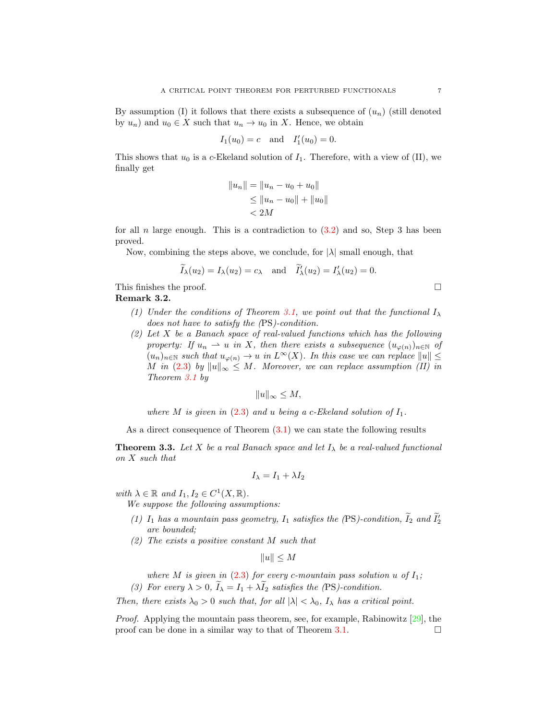By assumption (I) it follows that there exists a subsequence of  $(u_n)$  (still denoted by  $u_n$ ) and  $u_0 \in X$  such that  $u_n \to u_0$  in X. Hence, we obtain

$$
I_1(u_0) = c
$$
 and  $I'_1(u_0) = 0$ .

This shows that  $u_0$  is a c-Ekeland solution of  $I_1$ . Therefore, with a view of (II), we finally get

$$
||u_n|| = ||u_n - u_0 + u_0||
$$
  
\n
$$
\le ||u_n - u_0|| + ||u_0||
$$
  
\n
$$
< 2M
$$

for all n large enough. This is a contradiction to  $(3.2)$  and so, Step 3 has been proved.

Now, combining the steps above, we conclude, for  $|\lambda|$  small enough, that

$$
\widetilde{I}_{\lambda}(u_2) = I_{\lambda}(u_2) = c_{\lambda}
$$
 and  $\widetilde{I}'_{\lambda}(u_2) = I'_{\lambda}(u_2) = 0.$ 

This finishes the proof.  $\Box$ 

Remark 3.2.

- (1) Under the conditions of Theorem [3.1,](#page-4-4) we point out that the functional  $I_{\lambda}$ does not have to satisfy the (PS)-condition.
- $(2)$  Let X be a Banach space of real-valued functions which has the following property: If  $u_n \rightharpoonup u$  in X, then there exists a subsequence  $(u_{\varphi(n)})_{n\in\mathbb{N}}$  of  $(u_n)_{n\in\mathbb{N}}$  such that  $u_{\varphi(n)} \to u$  in  $L^{\infty}(X)$ . In this case we can replace  $||u|| \le$ M in [\(2.3\)](#page-3-0) by  $||u||_{\infty} \leq M$ . Moreover, we can replace assumption (II) in Theorem [3.1](#page-4-4) by

$$
||u||_{\infty} \le M,
$$

where M is given in  $(2.3)$  and u being a c-Ekeland solution of  $I_1$ .

As a direct consequence of Theorem  $(3.1)$  we can state the following results

**Theorem 3.3.** Let X be a real Banach space and let  $I_{\lambda}$  be a real-valued functional on X such that

$$
I_{\lambda} = I_1 + \lambda I_2
$$

with  $\lambda \in \mathbb{R}$  and  $I_1, I_2 \in C^1(X, \mathbb{R})$ .

We suppose the following assumptions:

- (1)  $I_1$  has a mountain pass geometry,  $I_1$  satisfies the (PS)-condition,  $\tilde{I}_2$  and  $\tilde{I}_2'$ are bounded;
- (2) The exists a positive constant M such that

 $||u|| \leq M$ 

where M is given in  $(2.3)$  for every c-mountain pass solution u of  $I_1$ ;

(3) For every  $\lambda > 0$ ,  $I_{\lambda} = I_1 + \lambda I_2$  satisfies the (PS)-condition.

Then, there exists  $\lambda_0 > 0$  such that, for all  $|\lambda| < \lambda_0$ ,  $I_\lambda$  has a critical point.

*Proof.* Applying the mountain pass theorem, see, for example, Rabinowitz  $[29]$ , the proof can be done in a similar way to that of Theorem [3.1.](#page-4-4)  $\Box$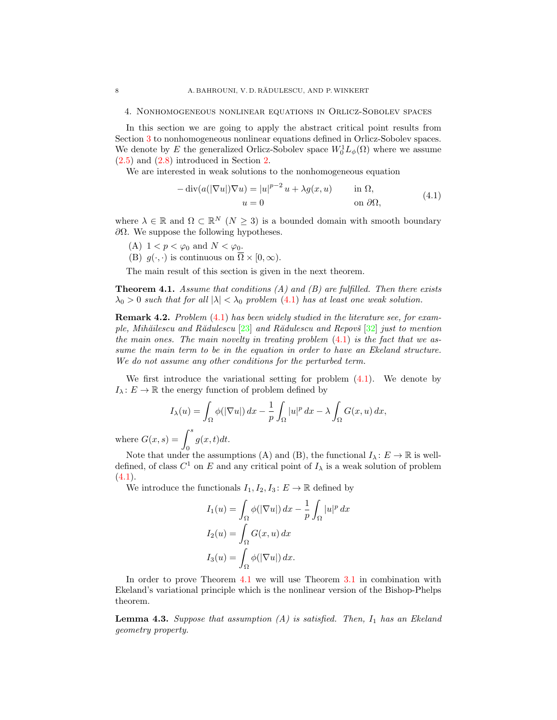#### <span id="page-7-0"></span>4. Nonhomogeneous nonlinear equations in Orlicz-Sobolev spaces

In this section we are going to apply the abstract critical point results from Section [3](#page-4-0) to nonhomogeneous nonlinear equations defined in Orlicz-Sobolev spaces. We denote by E the generalized Orlicz-Sobolev space  $W_0^1L_{\phi}(\Omega)$  where we assume [\(2.5\)](#page-4-2) and [\(2.8\)](#page-4-3) introduced in Section [2.](#page-2-0)

We are interested in weak solutions to the nonhomogeneous equation

<span id="page-7-1"></span>
$$
-\operatorname{div}(a(|\nabla u|)\nabla u) = |u|^{p-2} u + \lambda g(x, u) \quad \text{in } \Omega,
$$
  
\n
$$
u = 0 \quad \text{on } \partial\Omega,
$$
\n(4.1)

where  $\lambda \in \mathbb{R}$  and  $\Omega \subset \mathbb{R}^N$   $(N \geq 3)$  is a bounded domain with smooth boundary  $\partial Ω$ . We suppose the following hypotheses.

- (A)  $1 < p < \varphi_0$  and  $N < \varphi_0$ .
- (B)  $g(\cdot, \cdot)$  is continuous on  $\overline{\Omega} \times [0, \infty)$ .

The main result of this section is given in the next theorem.

<span id="page-7-2"></span>**Theorem 4.1.** Assume that conditions  $(A)$  and  $(B)$  are fulfilled. Then there exists  $\lambda_0 > 0$  such that for all  $|\lambda| < \lambda_0$  problem [\(4.1\)](#page-7-1) has at least one weak solution.

Remark 4.2. Problem [\(4.1\)](#page-7-1) has been widely studied in the literature see, for example, Mihăilescu and Rădulescu  $[23]$  and Rădulescu and Repovš  $[32]$  just to mention the main ones. The main novelty in treating problem  $(4.1)$  is the fact that we assume the main term to be in the equation in order to have an Ekeland structure. We do not assume any other conditions for the perturbed term.

We first introduce the variational setting for problem  $(4.1)$ . We denote by  $I_{\lambda}: E \to \mathbb{R}$  the energy function of problem defined by

$$
I_{\lambda}(u) = \int_{\Omega} \phi(|\nabla u|) dx - \frac{1}{p} \int_{\Omega} |u|^p dx - \lambda \int_{\Omega} G(x, u) dx,
$$

where  $G(x, s) = \int^s$ 0  $g(x,t)dt$ .

Note that under the assumptions (A) and (B), the functional  $I_\lambda: E \to \mathbb{R}$  is welldefined, of class  $C^1$  on E and any critical point of  $I_\lambda$  is a weak solution of problem  $(4.1).$  $(4.1).$ 

We introduce the functionals  $I_1, I_2, I_3 : E \to \mathbb{R}$  defined by

$$
I_1(u) = \int_{\Omega} \phi(|\nabla u|) dx - \frac{1}{p} \int_{\Omega} |u|^p dx
$$
  
\n
$$
I_2(u) = \int_{\Omega} G(x, u) dx
$$
  
\n
$$
I_3(u) = \int_{\Omega} \phi(|\nabla u|) dx.
$$

In order to prove Theorem [4.1](#page-7-2) we will use Theorem [3.1](#page-4-4) in combination with Ekeland's variational principle which is the nonlinear version of the Bishop-Phelps theorem.

<span id="page-7-3"></span>**Lemma 4.3.** Suppose that assumption  $(A)$  is satisfied. Then,  $I_1$  has an Ekeland geometry property.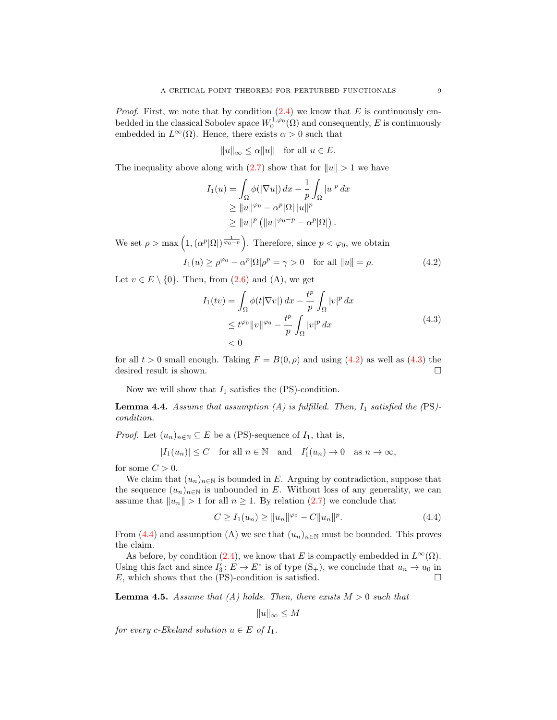*Proof.* First, we note that by condition  $(2.4)$  we know that E is continuously embedded in the classical Sobolev space  $W_0^{1,\varphi_0}(\Omega)$  and consequently, E is continuously embedded in  $L^{\infty}(\Omega)$ . Hence, there exists  $\alpha > 0$  such that

$$
||u||_{\infty} \le \alpha ||u|| \quad \text{for all } u \in E.
$$

The inequality above along with  $(2.7)$  show that for  $||u|| > 1$  we have

$$
I_1(u) = \int_{\Omega} \phi(|\nabla u|) dx - \frac{1}{p} \int_{\Omega} |u|^p dx
$$
  
\n
$$
\geq ||u||^{\varphi_0} - \alpha^p |\Omega| ||u||^p
$$
  
\n
$$
\geq ||u||^p (||u||^{\varphi_0 - p} - \alpha^p |\Omega|).
$$

We set  $\rho > \max\left(1, \left(\alpha^p |\Omega|\right)^{\frac{1}{\varphi_0 - p}}\right)$ . Therefore, since  $p < \varphi_0$ , we obtain

$$
I_1(u) \ge \rho^{\varphi_0} - \alpha^p |\Omega| \rho^p = \gamma > 0 \quad \text{for all } ||u|| = \rho. \tag{4.2}
$$

Let  $v \in E \setminus \{0\}$ . Then, from  $(2.6)$  and  $(A)$ , we get

<span id="page-8-1"></span><span id="page-8-0"></span>
$$
I_1(tv) = \int_{\Omega} \phi(t|\nabla v|) dx - \frac{t^p}{p} \int_{\Omega} |v|^p dx
$$
  
\n
$$
\leq t^{\varphi_0} \|v\|^{\varphi_0} - \frac{t^p}{p} \int_{\Omega} |v|^p dx
$$
  
\n
$$
< 0
$$
\n(4.3)

for all  $t > 0$  small enough. Taking  $F = B(0, \rho)$  and using  $(4.2)$  as well as  $(4.3)$  the desired result is shown.  $\hfill \square$ 

Now we will show that  $I_1$  satisfies the (PS)-condition.

<span id="page-8-3"></span>**Lemma 4.4.** Assume that assumption (A) is fulfilled. Then,  $I_1$  satisfied the (PS)condition.

*Proof.* Let  $(u_n)_{n\in\mathbb{N}}\subseteq E$  be a (PS)-sequence of  $I_1$ , that is,

 $|I_1(u_n)| \leq C$  for all  $n \in \mathbb{N}$  and  $I'_1(u_n) \to 0$  as  $n \to \infty$ ,

for some  $C > 0$ .

We claim that  $(u_n)_{n\in\mathbb{N}}$  is bounded in E. Arguing by contradiction, suppose that the sequence  $(u_n)_{n\in\mathbb{N}}$  is unbounded in E. Without loss of any generality, we can assume that  $||u_n|| > 1$  for all  $n \ge 1$ . By relation [\(2.7\)](#page-4-5) we conclude that

$$
C \ge I_1(u_n) \ge ||u_n||^{\varphi_0} - C||u_n||^p. \tag{4.4}
$$

From [\(4.4\)](#page-8-2) and assumption (A) we see that  $(u_n)_{n\in\mathbb{N}}$  must be bounded. This proves the claim.

As before, by condition [\(2.4\)](#page-4-1), we know that E is compactly embedded in  $L^{\infty}(\Omega)$ . Using this fact and since  $I'_3: E \to E^*$  is of type  $(S_+)$ , we conclude that  $u_n \to u_0$  in E, which shows that the (PS)-condition is satisfied.  $\square$ 

<span id="page-8-4"></span>**Lemma 4.5.** Assume that (A) holds. Then, there exists  $M > 0$  such that

<span id="page-8-2"></span>
$$
||u||_{\infty} \le M
$$

for every c-Ekeland solution  $u \in E$  of  $I_1$ .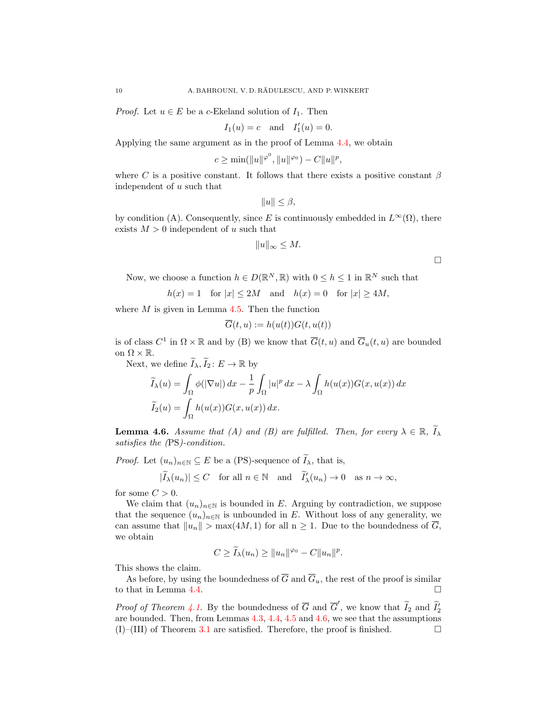*Proof.* Let  $u \in E$  be a c-Ekeland solution of  $I_1$ . Then

$$
I_1(u) = c
$$
 and  $I'_1(u) = 0$ .

Applying the same argument as in the proof of Lemma [4.4,](#page-8-3) we obtain

$$
c \ge \min(\|u\|^{\varphi^0}, \|u\|^{\varphi_0}) - C\|u\|^p,
$$

where C is a positive constant. It follows that there exists a positive constant  $\beta$ independent of u such that

$$
||u|| \leq \beta,
$$

by condition (A). Consequently, since E is continuously embedded in  $L^{\infty}(\Omega)$ , there exists  $M > 0$  independent of u such that

$$
||u||_{\infty} \leq M.
$$

Now, we choose a function  $h \in D(\mathbb{R}^N, \mathbb{R})$  with  $0 \leq h \leq 1$  in  $\mathbb{R}^N$  such that

$$
h(x) = 1 \quad \text{for } |x| \le 2M \quad \text{and} \quad h(x) = 0 \quad \text{for } |x| \ge 4M,
$$

where  $M$  is given in Lemma [4.5.](#page-8-4) Then the function

$$
\overline{G}(t,u):=h(u(t))G(t,u(t))
$$

is of class  $C^1$  in  $\Omega \times \mathbb{R}$  and by (B) we know that  $\overline{G}(t, u)$  and  $\overline{G}_u(t, u)$  are bounded on  $\Omega \times \mathbb{R}$ .

Next, we define  $\widetilde{I}_{\lambda}, \widetilde{I}_{2} : E \to \mathbb{R}$  by

$$
\widetilde{I}_{\lambda}(u) = \int_{\Omega} \phi(|\nabla u|) dx - \frac{1}{p} \int_{\Omega} |u|^p dx - \lambda \int_{\Omega} h(u(x)) G(x, u(x)) dx
$$
  

$$
\widetilde{I}_{2}(u) = \int_{\Omega} h(u(x)) G(x, u(x)) dx.
$$

<span id="page-9-0"></span>**Lemma 4.6.** Assume that (A) and (B) are fulfilled. Then, for every  $\lambda \in \mathbb{R}$ ,  $\widetilde{I}_{\lambda}$ satisfies the (PS)-condition.

*Proof.* Let  $(u_n)_{n\in\mathbb{N}}\subseteq E$  be a (PS)-sequence of  $\widetilde{I}_\lambda$ , that is,

$$
|\widetilde{I}_{\lambda}(u_n)| \leq C
$$
 for all  $n \in \mathbb{N}$  and  $\widetilde{I}'_{\lambda}(u_n) \to 0$  as  $n \to \infty$ ,

for some  $C > 0$ .

We claim that  $(u_n)_{n\in\mathbb{N}}$  is bounded in E. Arguing by contradiction, we suppose that the sequence  $(u_n)_{n\in\mathbb{N}}$  is unbounded in E. Without loss of any generality, we can assume that  $||u_n|| > \max(4M, 1)$  for all  $n \geq 1$ . Due to the boundedness of  $\overline{G}$ , we obtain

$$
C \ge \widetilde{I}_{\lambda}(u_n) \ge ||u_n||^{\varphi_0} - C||u_n||^p.
$$

This shows the claim.

As before, by using the boundedness of  $\overline{G}$  and  $\overline{G}_u$ , the rest of the proof is similar to that in Lemma [4.4.](#page-8-3)

*Proof of Theorem [4.1.](#page-7-2)* By the boundedness of  $\overline{G}$  and  $\overline{G}'$ , we know that  $\widetilde{I}_2$  and  $\widetilde{I}_2'$ are bounded. Then, from Lemmas [4.3,](#page-7-3) [4.4,](#page-8-3) [4.5](#page-8-4) and [4.6,](#page-9-0) we see that the assumptions  $(I)$ –(III) of Theorem [3.1](#page-4-4) are satisfied. Therefore, the proof is finished.  $\Box$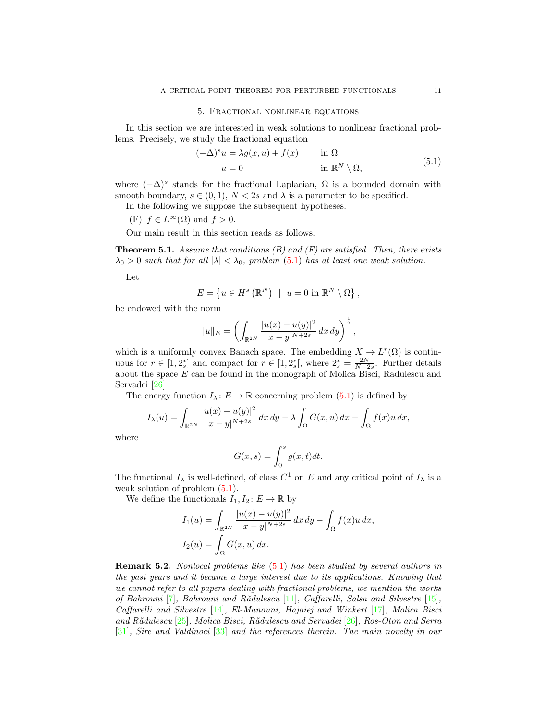#### 5. Fractional nonlinear equations

<span id="page-10-0"></span>In this section we are interested in weak solutions to nonlinear fractional problems. Precisely, we study the fractional equation

<span id="page-10-1"></span>
$$
(-\Delta)^s u = \lambda g(x, u) + f(x) \quad \text{in } \Omega,
$$
  
\n
$$
u = 0 \quad \text{in } \mathbb{R}^N \setminus \Omega,
$$
\n(5.1)

where  $(-\Delta)^s$  stands for the fractional Laplacian,  $\Omega$  is a bounded domain with smooth boundary,  $s \in (0,1)$ ,  $N < 2s$  and  $\lambda$  is a parameter to be specified.

In the following we suppose the subsequent hypotheses.

(F) 
$$
f \in L^{\infty}(\Omega)
$$
 and  $f > 0$ .

Our main result in this section reads as follows.

<span id="page-10-2"></span>**Theorem 5.1.** Assume that conditions  $(B)$  and  $(F)$  are satisfied. Then, there exists  $\lambda_0 > 0$  such that for all  $|\lambda| < \lambda_0$ , problem [\(5.1\)](#page-10-1) has at least one weak solution.

Let

$$
E = \left\{ u \in H^s\left( \mathbb{R}^N \right) \: \mid \: u = 0 \text{ in } \mathbb{R}^N \setminus \Omega \right\},
$$

be endowed with the norm

$$
||u||_E = \left(\int_{\mathbb{R}^{2N}} \frac{|u(x) - u(y)|^2}{|x - y|^{N+2s}} dx dy\right)^{\frac{1}{2}},
$$

which is a uniformly convex Banach space. The embedding  $X \to L^r(\Omega)$  is continuous for  $r \in [1, 2_s^*]$  and compact for  $r \in [1, 2_s^*]$ , where  $2_s^* = \frac{2N}{N-2s}$ . Further details about the space E can be found in the monograph of Molica Bisci, Radulescu and Servadei [\[26\]](#page-13-12)

The energy function  $I_{\lambda}: E \to \mathbb{R}$  concerning problem [\(5.1\)](#page-10-1) is defined by

$$
I_{\lambda}(u) = \int_{\mathbb{R}^{2N}} \frac{|u(x) - u(y)|^2}{|x - y|^{N+2s}} dx dy - \lambda \int_{\Omega} G(x, u) dx - \int_{\Omega} f(x)u dx,
$$

where

$$
G(x,s) = \int_0^s g(x,t)dt.
$$

The functional  $I_\lambda$  is well-defined, of class  $C^1$  on E and any critical point of  $I_\lambda$  is a weak solution of problem  $(5.1)$ .

We define the functionals  $I_1, I_2: E \to \mathbb{R}$  by

$$
I_1(u) = \int_{\mathbb{R}^{2N}} \frac{|u(x) - u(y)|^2}{|x - y|^{N+2s}} dx dy - \int_{\Omega} f(x)u dx,
$$
  

$$
I_2(u) = \int_{\Omega} G(x, u) dx.
$$

Remark 5.2. Nonlocal problems like [\(5.1\)](#page-10-1) has been studied by several authors in the past years and it became a large interest due to its applications. Knowing that we cannot refer to all papers dealing with fractional problems, we mention the works of Bahrouni  $[7]$ , Bahrouni and Rădulescu  $[11]$ , Caffarelli, Salsa and Silvestre  $[15]$ , Caffarelli and Silvestre [\[14\]](#page-13-20), El-Manouni, Hajaiej and Winkert [\[17\]](#page-13-21), Molica Bisci and R $\tilde{a}$ dulescu  $[25]$ , Molica Bisci, R $\tilde{a}$ dulescu and Servadei  $[26]$ , Ros-Oton and Serra [\[31\]](#page-13-23), Sire and Valdinoci [\[33\]](#page-13-24) and the references therein. The main novelty in our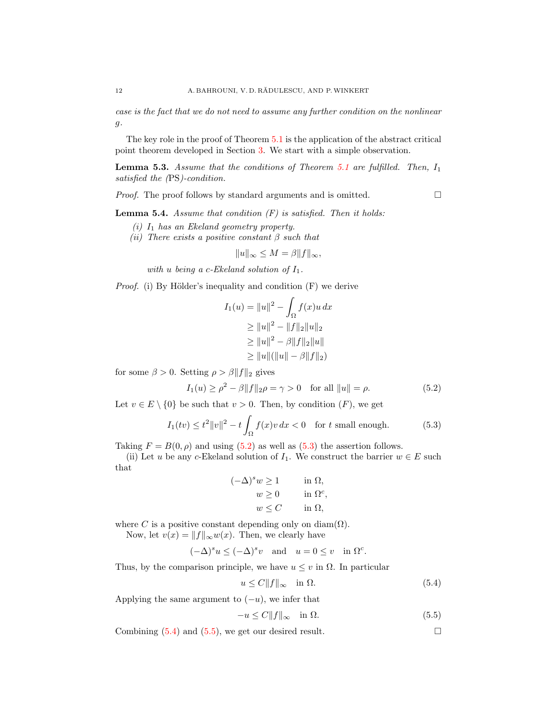case is the fact that we do not need to assume any further condition on the nonlinear g.

The key role in the proof of Theorem [5.1](#page-10-2) is the application of the abstract critical point theorem developed in Section [3.](#page-4-0) We start with a simple observation.

<span id="page-11-4"></span>**Lemma 5.3.** Assume that the conditions of Theorem [5.1](#page-10-2) are fulfilled. Then,  $I_1$ satisfied the (PS)-condition.

*Proof.* The proof follows by standard arguments and is omitted.  $\Box$ 

<span id="page-11-0"></span>

<span id="page-11-5"></span>**Lemma 5.4.** Assume that condition  $(F)$  is satisfied. Then it holds:

- $(i)$   $I_1$  has an Ekeland geometry property.
- (ii) There exists a positive constant  $\beta$  such that

$$
||u||_{\infty} \le M = \beta ||f||_{\infty},
$$

with  $u$  being a c-Ekeland solution of  $I_1$ .

*Proof.* (i) By Hölder's inequality and condition  $(F)$  we derive

$$
I_1(u) = \|u\|^2 - \int_{\Omega} f(x)u \, dx
$$
  
\n
$$
\ge \|u\|^2 - \|f\|_2 \|u\|_2
$$
  
\n
$$
\ge \|u\|^2 - \beta \|f\|_2 \|u\|
$$
  
\n
$$
\ge \|u\| (\|u\| - \beta \|f\|_2)
$$

for some  $\beta > 0$ . Setting  $\rho > \beta ||f||_2$  gives

$$
I_1(u) \ge \rho^2 - \beta \|f\|_2 \rho = \gamma > 0 \quad \text{for all } \|u\| = \rho.
$$
 (5.2)

Let  $v \in E \setminus \{0\}$  be such that  $v > 0$ . Then, by condition  $(F)$ , we get

$$
I_1(tv) \le t^2 ||v||^2 - t \int_{\Omega} f(x)v \, dx < 0 \quad \text{for } t \text{ small enough.} \tag{5.3}
$$

Taking  $F = B(0, \rho)$  and using [\(5.2\)](#page-11-0) as well as [\(5.3\)](#page-11-1) the assertion follows.

(ii) Let u be any c-Ekeland solution of  $I_1$ . We construct the barrier  $w \in E$  such that

<span id="page-11-1"></span>
$$
(-\Delta)^s w \ge 1 \quad \text{in } \Omega,
$$
  
\n
$$
w \ge 0 \quad \text{in } \Omega^c,
$$
  
\n
$$
w \le C \quad \text{in } \Omega,
$$

where C is a positive constant depending only on diam( $\Omega$ ).

Now, let  $v(x) = ||f||_{\infty}w(x)$ . Then, we clearly have

$$
(-\Delta)^s u \le (-\Delta)^s v
$$
 and  $u = 0 \le v$  in  $\Omega^c$ .

Thus, by the comparison principle, we have  $u \leq v$  in  $\Omega$ . In particular

<span id="page-11-2"></span>
$$
u \le C \|f\|_{\infty} \quad \text{in } \Omega. \tag{5.4}
$$

Applying the same argument to  $(-u)$ , we infer that

<span id="page-11-3"></span>
$$
-u \le C \|f\|_{\infty} \quad \text{in } \Omega. \tag{5.5}
$$

Combining  $(5.4)$  and  $(5.5)$ , we get our desired result.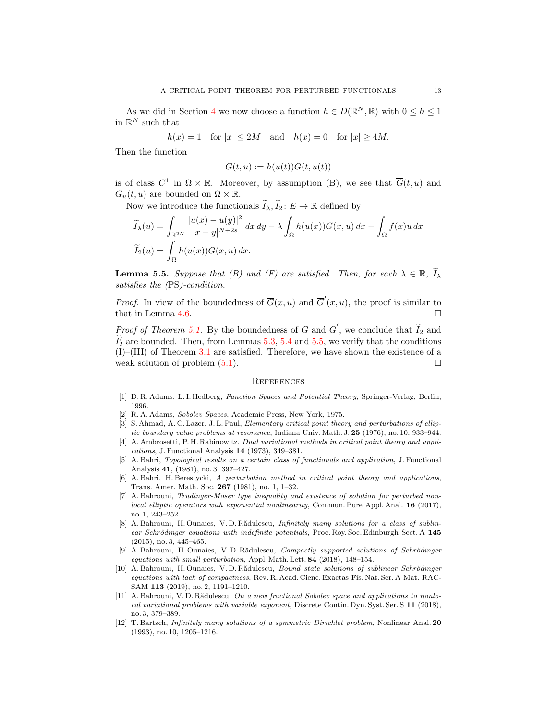As we did in Section [4](#page-7-0) we now choose a function  $h \in D(\mathbb{R}^N, \mathbb{R})$  with  $0 \le h \le 1$ in  $\mathbb{R}^N$  such that

$$
h(x) = 1
$$
 for  $|x| \le 2M$  and  $h(x) = 0$  for  $|x| \ge 4M$ .

Then the function

$$
\overline{G}(t, u) := h(u(t))G(t, u(t))
$$

is of class  $C^1$  in  $\Omega \times \mathbb{R}$ . Moreover, by assumption (B), we see that  $\overline{G}(t, u)$  and  $\overline{G}_u(t, u)$  are bounded on  $\Omega \times \mathbb{R}$ .

Now we introduce the functionals  $\widetilde{I}_{\lambda}, \widetilde{I}_{2} : E \to \mathbb{R}$  defined by

$$
\widetilde{I}_{\lambda}(u) = \int_{\mathbb{R}^{2N}} \frac{|u(x) - u(y)|^2}{|x - y|^{N+2s}} dx dy - \lambda \int_{\Omega} h(u(x)) G(x, u) dx - \int_{\Omega} f(x)u dx
$$

$$
\widetilde{I}_{2}(u) = \int_{\Omega} h(u(x)) G(x, u) dx.
$$

<span id="page-12-12"></span>**Lemma 5.5.** Suppose that (B) and (F) are satisfied. Then, for each  $\lambda \in \mathbb{R}$ ,  $\widetilde{I}_{\lambda}$ satisfies the (PS)-condition.

*Proof.* In view of the boundedness of  $\overline{G}(x, u)$  and  $\overline{G}'(x, u)$ , the proof is similar to that in Lemma [4.6.](#page-9-0)  $\Box$ 

*Proof of Theorem [5.1.](#page-10-2)* By the boundedness of  $\overline{G}$  and  $\overline{G}'$ , we conclude that  $\widetilde{I}_2$  and  $\widetilde{I}_2'$  are bounded. Then, from Lemmas [5.3,](#page-11-4) [5.4](#page-11-5) and [5.5,](#page-12-12) we verify that the conditions (I)–(III) of Theorem [3.1](#page-4-4) are satisfied. Therefore, we have shown the existence of a weak solution of problem  $(5.1)$ .

#### **REFERENCES**

- <span id="page-12-8"></span>[1] D. R. Adams, L. I. Hedberg, Function Spaces and Potential Theory, Springer-Verlag, Berlin, 1996.
- <span id="page-12-9"></span>[2] R. A. Adams, Sobolev Spaces, Academic Press, New York, 1975.
- <span id="page-12-0"></span>[3] S. Ahmad, A. C. Lazer, J. L. Paul, Elementary critical point theory and perturbations of elliptic boundary value problems at resonance, Indiana Univ. Math. J. 25 (1976), no. 10, 933–944.
- <span id="page-12-6"></span>[4] A. Ambrosetti, P. H. Rabinowitz, *Dual variational methods in critical point theory and appli*cations, J. Functional Analysis 14 (1973), 349–381.
- <span id="page-12-1"></span>[5] A. Bahri, Topological results on a certain class of functionals and application, J. Functional Analysis 41, (1981), no. 3, 397–427.
- <span id="page-12-2"></span>[6] A. Bahri, H. Berestycki, A perturbation method in critical point theory and applications, Trans. Amer. Math. Soc. 267 (1981), no. 1, 1–32.
- <span id="page-12-10"></span>[7] A. Bahrouni, Trudinger-Moser type inequality and existence of solution for perturbed nonlocal elliptic operators with exponential nonlinearity, Commun. Pure Appl. Anal. 16 (2017), no. 1, 243–252.
- <span id="page-12-3"></span>[8] A. Bahrouni, H. Ounaies, V. D. Rădulescu, *Infinitely many solutions for a class of sublin*ear Schrödinger equations with indefinite potentials, Proc. Roy. Soc. Edinburgh Sect. A  $145$ (2015), no. 3, 445–465.
- <span id="page-12-4"></span>[9] A. Bahrouni, H. Ounaies, V. D. Rădulescu, Compactly supported solutions of Schrödinger equations with small perturbation, Appl. Math. Lett. 84 (2018), 148–154.
- <span id="page-12-5"></span>[10] A. Bahrouni, H. Ounaies, V. D. Rădulescu, Bound state solutions of sublinear Schrödinger equations with lack of compactness, Rev. R. Acad. Cienc. Exactas Fís. Nat. Ser. A Mat. RAC-SAM 113 (2019), no. 2, 1191–1210.
- <span id="page-12-11"></span>[11] A. Bahrouni, V. D. Rădulescu, On a new fractional Sobolev space and applications to nonlocal variational problems with variable exponent, Discrete Contin. Dyn. Syst. Ser. S 11 (2018), no. 3, 379–389.
- <span id="page-12-7"></span>[12] T. Bartsch, Infinitely many solutions of a symmetric Dirichlet problem, Nonlinear Anal. 20 (1993), no. 10, 1205–1216.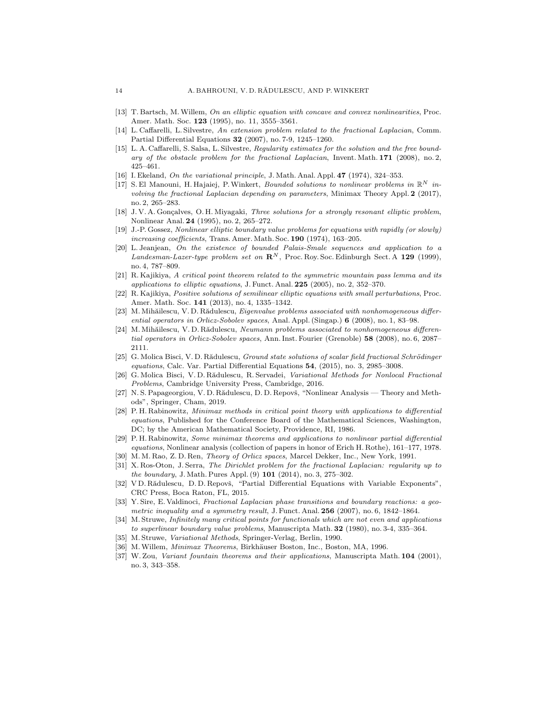- <span id="page-13-0"></span>[13] T. Bartsch, M.Willem, On an elliptic equation with concave and convex nonlinearities, Proc. Amer. Math. Soc. 123 (1995), no. 11, 3555-3561.
- <span id="page-13-20"></span>[14] L. Caffarelli, L. Silvestre, An extension problem related to the fractional Laplacian, Comm. Partial Differential Equations 32 (2007), no. 7-9, 1245–1260.
- <span id="page-13-19"></span>[15] L. A. Caffarelli, S. Salsa, L. Silvestre, Regularity estimates for the solution and the free boundary of the obstacle problem for the fractional Laplacian, Invent. Math. 171 (2008), no. 2, 425–461.
- <span id="page-13-14"></span>[16] I. Ekeland, On the variational principle, J. Math. Anal. Appl. **47** (1974), 324–353.
- <span id="page-13-21"></span>[17] S. El Manouni, H. Hajaiej, P. Winkert, Bounded solutions to nonlinear problems in  $\mathbb{R}^N$  involving the fractional Laplacian depending on parameters, Minimax Theory Appl. 2 (2017), no. 2, 265–283.
- <span id="page-13-1"></span>[18] J.V. A. Gonçalves, O. H. Miyagaki, Three solutions for a strongly resonant elliptic problem, Nonlinear Anal. 24 (1995), no. 2, 265–272.
- <span id="page-13-15"></span>[19] J.-P. Gossez, Nonlinear elliptic boundary value problems for equations with rapidly (or slowly) increasing coefficients, Trans. Amer. Math. Soc. 190 (1974), 163-205.
- <span id="page-13-9"></span>[20] L. Jeanjean, On the existence of bounded Palais-Smale sequences and application to a Landesman-Lazer-type problem set on  $\mathbb{R}^N$ , Proc. Roy. Soc. Edinburgh Sect. A 129 (1999), no. 4, 787–809.
- <span id="page-13-10"></span>[21] R. Kajikiya, A critical point theorem related to the symmetric mountain pass lemma and its applications to elliptic equations, J. Funct. Anal.  $225$  (2005), no. 2, 352-370.
- <span id="page-13-2"></span>[22] R. Kajikiya, Positive solutions of semilinear elliptic equations with small perturbations, Proc. Amer. Math. Soc. 141 (2013), no. 4, 1335–1342.
- <span id="page-13-3"></span>[23] M. Mihăilescu, V. D. Rădulescu, Eigenvalue problems associated with nonhomogeneous differential operators in Orlicz-Sobolev spaces, Anal. Appl. (Singap.) 6 (2008), no. 1, 83–98.
- <span id="page-13-17"></span>[24] M. Mihăilescu, V. D. Rădulescu, Neumann problems associated to nonhomogeneous differential operators in Orlicz-Sobolev spaces, Ann. Inst. Fourier (Grenoble) 58 (2008), no. 6, 2087– 2111.
- <span id="page-13-22"></span>[25] G. Molica Bisci, V. D. Rădulescu, Ground state solutions of scalar field fractional Schrödinger equations, Calc. Var. Partial Differential Equations 54, (2015), no. 3, 2985–3008.
- <span id="page-13-12"></span>[26] G. Molica Bisci, V. D. Rădulescu, R. Servadei, Variational Methods for Nonlocal Fractional Problems, Cambridge University Press, Cambridge, 2016.
- <span id="page-13-13"></span>[27] N. S. Papageorgiou, V. D. Rădulescu, D. D. Repovš, "Nonlinear Analysis — Theory and Methods", Springer, Cham, 2019.
- <span id="page-13-6"></span>[28] P. H. Rabinowitz, Minimax methods in critical point theory with applications to differential equations, Published for the Conference Board of the Mathematical Sciences, Washington, DC; by the American Mathematical Society, Providence, RI, 1986.
- <span id="page-13-5"></span>[29] P. H. Rabinowitz, Some minimax theorems and applications to nonlinear partial differential equations, Nonlinear analysis (collection of papers in honor of Erich H. Rothe), 161–177, 1978.
- <span id="page-13-16"></span>M. M. Rao, Z. D. Ren, *Theory of Orlicz spaces*, Marcel Dekker, Inc., New York, 1991.
- <span id="page-13-23"></span>[31] X. Ros-Oton, J. Serra, The Dirichlet problem for the fractional Laplacian: regularity up to the boundary, J. Math. Pures Appl. (9) **101** (2014), no. 3, 275-302.
- <span id="page-13-18"></span>[32] VD. Rădulescu, D. D. Repovš, "Partial Differential Equations with Variable Exponents", CRC Press, Boca Raton, FL, 2015.
- <span id="page-13-24"></span>[33] Y. Sire, E. Valdinoci, Fractional Laplacian phase transitions and boundary reactions: a geometric inequality and a symmetry result, J. Funct. Anal. 256 (2007), no. 6, 1842–1864.
- <span id="page-13-4"></span>[34] M. Struwe, Infinitely many critical points for functionals which are not even and applications to superlinear boundary value problems, Manuscripta Math. 32 (1980), no. 3-4, 335–364.
- <span id="page-13-7"></span>[35] M. Struwe, Variational Methods, Springer-Verlag, Berlin, 1990.
- <span id="page-13-8"></span>[36] M. Willem, *Minimax Theorems*, Birkhäuser Boston, Inc., Boston, MA, 1996.
- <span id="page-13-11"></span>[37] W. Zou, Variant fountain theorems and their applications, Manuscripta Math. 104 (2001), no. 3, 343–358.